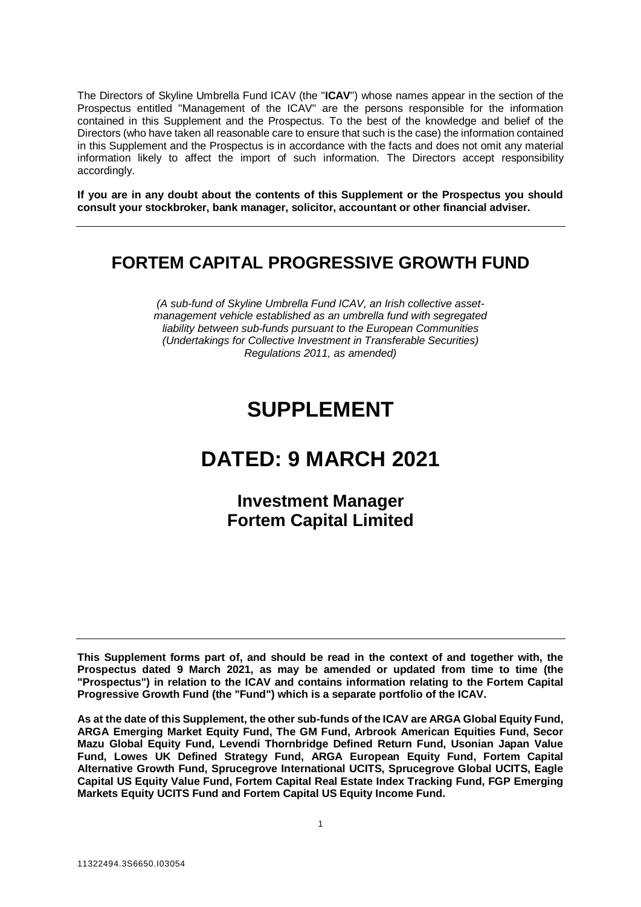The Directors of Skyline Umbrella Fund ICAV (the "**ICAV**") whose names appear in the section of the Prospectus entitled "Management of the ICAV" are the persons responsible for the information contained in this Supplement and the Prospectus. To the best of the knowledge and belief of the Directors (who have taken all reasonable care to ensure that such is the case) the information contained in this Supplement and the Prospectus is in accordance with the facts and does not omit any material information likely to affect the import of such information. The Directors accept responsibility accordingly.

**If you are in any doubt about the contents of this Supplement or the Prospectus you should consult your stockbroker, bank manager, solicitor, accountant or other financial adviser.**

# **FORTEM CAPITAL PROGRESSIVE GROWTH FUND**

*(A sub-fund of Skyline Umbrella Fund ICAV, an Irish collective assetmanagement vehicle established as an umbrella fund with segregated liability between sub-funds pursuant to the European Communities (Undertakings for Collective Investment in Transferable Securities) Regulations 2011, as amended)*

# **SUPPLEMENT**

# **DATED: 9 MARCH 2021**

# **Investment Manager Fortem Capital Limited**

**This Supplement forms part of, and should be read in the context of and together with, the Prospectus dated 9 March 2021, as may be amended or updated from time to time (the "Prospectus") in relation to the ICAV and contains information relating to the Fortem Capital Progressive Growth Fund (the "Fund") which is a separate portfolio of the ICAV.** 

**As at the date of this Supplement, the other sub-funds of the ICAV are ARGA Global Equity Fund, ARGA Emerging Market Equity Fund, The GM Fund, Arbrook American Equities Fund, Secor Mazu Global Equity Fund, Levendi Thornbridge Defined Return Fund, Usonian Japan Value Fund, Lowes UK Defined Strategy Fund, ARGA European Equity Fund, Fortem Capital Alternative Growth Fund, Sprucegrove International UCITS, Sprucegrove Global UCITS, Eagle Capital US Equity Value Fund, Fortem Capital Real Estate Index Tracking Fund, FGP Emerging Markets Equity UCITS Fund and Fortem Capital US Equity Income Fund.**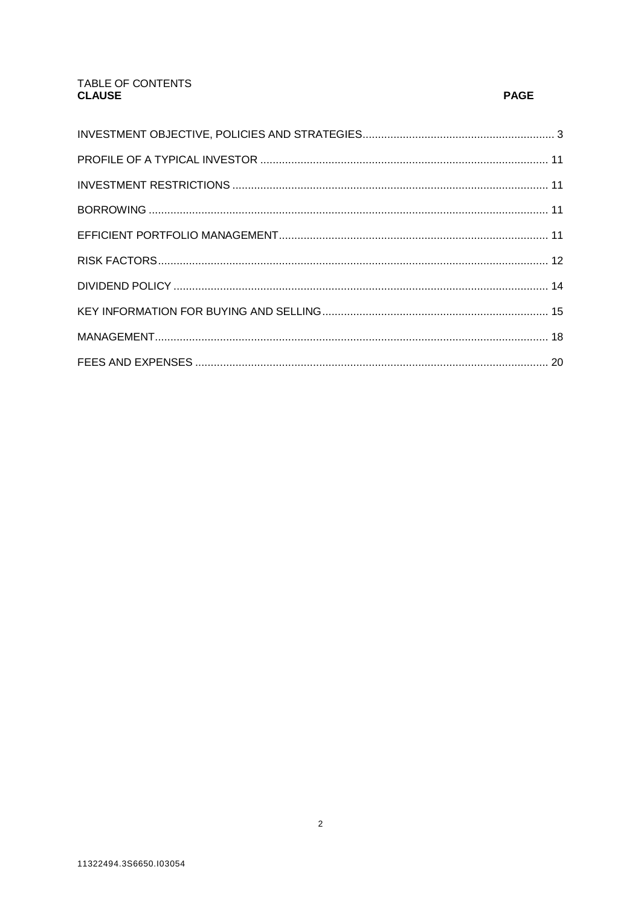# TABLE OF CONTENTS **CLAUSE**

# **PAGE**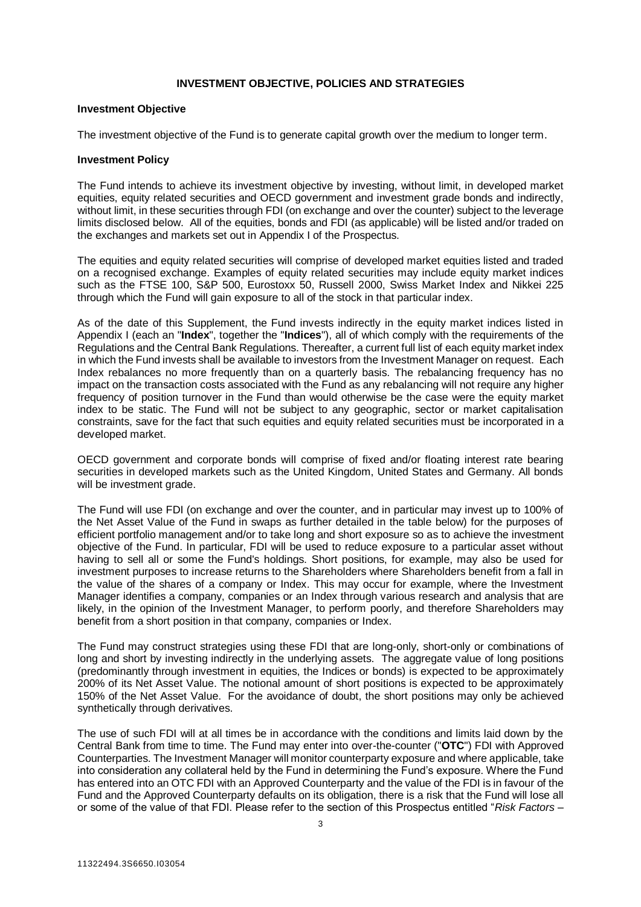# **INVESTMENT OBJECTIVE, POLICIES AND STRATEGIES**

#### <span id="page-2-0"></span>**Investment Objective**

The investment objective of the Fund is to generate capital growth over the medium to longer term.

#### **Investment Policy**

The Fund intends to achieve its investment objective by investing, without limit, in developed market equities, equity related securities and OECD government and investment grade bonds and indirectly, without limit, in these securities through FDI (on exchange and over the counter) subject to the leverage limits disclosed below. All of the equities, bonds and FDI (as applicable) will be listed and/or traded on the exchanges and markets set out in Appendix I of the Prospectus.

The equities and equity related securities will comprise of developed market equities listed and traded on a recognised exchange. Examples of equity related securities may include equity market indices such as the FTSE 100, S&P 500, Eurostoxx 50, Russell 2000, Swiss Market Index and Nikkei 225 through which the Fund will gain exposure to all of the stock in that particular index.

As of the date of this Supplement, the Fund invests indirectly in the equity market indices listed in Appendix I (each an "**Index**", together the "**Indices**"), all of which comply with the requirements of the Regulations and the Central Bank Regulations. Thereafter, a current full list of each equity market index in which the Fund invests shall be available to investors from the Investment Manager on request. Each Index rebalances no more frequently than on a quarterly basis. The rebalancing frequency has no impact on the transaction costs associated with the Fund as any rebalancing will not require any higher frequency of position turnover in the Fund than would otherwise be the case were the equity market index to be static. The Fund will not be subject to any geographic, sector or market capitalisation constraints, save for the fact that such equities and equity related securities must be incorporated in a developed market.

OECD government and corporate bonds will comprise of fixed and/or floating interest rate bearing securities in developed markets such as the United Kingdom, United States and Germany. All bonds will be investment grade.

The Fund will use FDI (on exchange and over the counter, and in particular may invest up to 100% of the Net Asset Value of the Fund in swaps as further detailed in the table below) for the purposes of efficient portfolio management and/or to take long and short exposure so as to achieve the investment objective of the Fund. In particular, FDI will be used to reduce exposure to a particular asset without having to sell all or some the Fund's holdings. Short positions, for example, may also be used for investment purposes to increase returns to the Shareholders where Shareholders benefit from a fall in the value of the shares of a company or Index. This may occur for example, where the Investment Manager identifies a company, companies or an Index through various research and analysis that are likely, in the opinion of the Investment Manager, to perform poorly, and therefore Shareholders may benefit from a short position in that company, companies or Index.

The Fund may construct strategies using these FDI that are long-only, short-only or combinations of long and short by investing indirectly in the underlying assets. The aggregate value of long positions (predominantly through investment in equities, the Indices or bonds) is expected to be approximately 200% of its Net Asset Value. The notional amount of short positions is expected to be approximately 150% of the Net Asset Value. For the avoidance of doubt, the short positions may only be achieved synthetically through derivatives.

The use of such FDI will at all times be in accordance with the conditions and limits laid down by the Central Bank from time to time. The Fund may enter into over-the-counter ("**OTC**") FDI with Approved Counterparties. The Investment Manager will monitor counterparty exposure and where applicable, take into consideration any collateral held by the Fund in determining the Fund's exposure. Where the Fund has entered into an OTC FDI with an Approved Counterparty and the value of the FDI is in favour of the Fund and the Approved Counterparty defaults on its obligation, there is a risk that the Fund will lose all or some of the value of that FDI. Please refer to the section of this Prospectus entitled "*Risk Factors –*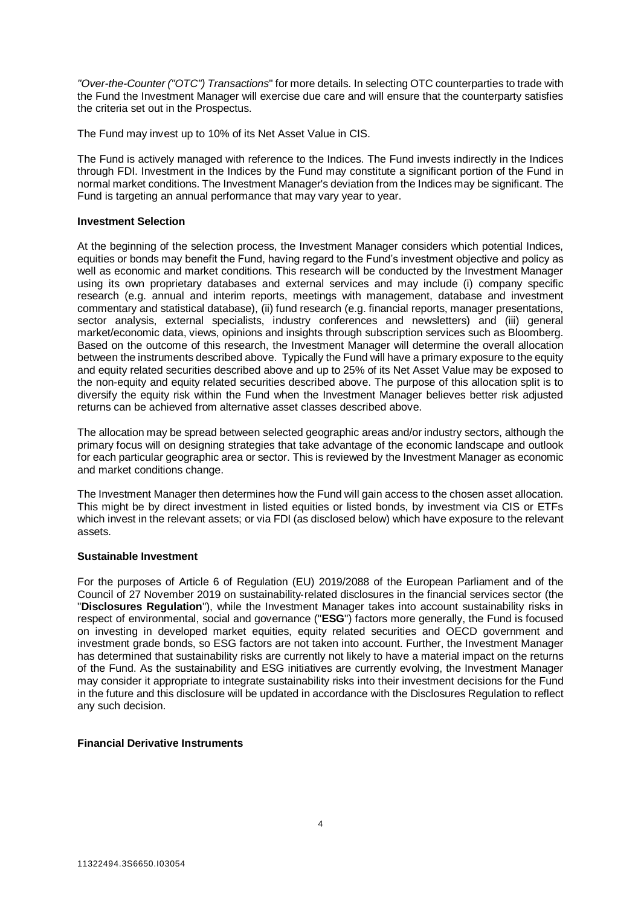*"Over-the-Counter ("OTC") Transactions*" for more details. In selecting OTC counterparties to trade with the Fund the Investment Manager will exercise due care and will ensure that the counterparty satisfies the criteria set out in the Prospectus.

The Fund may invest up to 10% of its Net Asset Value in CIS.

The Fund is actively managed with reference to the Indices. The Fund invests indirectly in the Indices through FDI. Investment in the Indices by the Fund may constitute a significant portion of the Fund in normal market conditions. The Investment Manager's deviation from the Indices may be significant. The Fund is targeting an annual performance that may vary year to year.

# **Investment Selection**

At the beginning of the selection process, the Investment Manager considers which potential Indices, equities or bonds may benefit the Fund, having regard to the Fund's investment objective and policy as well as economic and market conditions. This research will be conducted by the Investment Manager using its own proprietary databases and external services and may include (i) company specific research (e.g. annual and interim reports, meetings with management, database and investment commentary and statistical database), (ii) fund research (e.g. financial reports, manager presentations, sector analysis, external specialists, industry conferences and newsletters) and (iii) general market/economic data, views, opinions and insights through subscription services such as Bloomberg. Based on the outcome of this research, the Investment Manager will determine the overall allocation between the instruments described above. Typically the Fund will have a primary exposure to the equity and equity related securities described above and up to 25% of its Net Asset Value may be exposed to the non-equity and equity related securities described above. The purpose of this allocation split is to diversify the equity risk within the Fund when the Investment Manager believes better risk adjusted returns can be achieved from alternative asset classes described above.

The allocation may be spread between selected geographic areas and/or industry sectors, although the primary focus will on designing strategies that take advantage of the economic landscape and outlook for each particular geographic area or sector. This is reviewed by the Investment Manager as economic and market conditions change.

The Investment Manager then determines how the Fund will gain access to the chosen asset allocation. This might be by direct investment in listed equities or listed bonds, by investment via CIS or ETFs which invest in the relevant assets; or via FDI (as disclosed below) which have exposure to the relevant assets.

# **Sustainable Investment**

For the purposes of Article 6 of Regulation (EU) 2019/2088 of the European Parliament and of the Council of 27 November 2019 on sustainability‐related disclosures in the financial services sector (the "**Disclosures Regulation**"), while the Investment Manager takes into account sustainability risks in respect of environmental, social and governance ("**ESG**") factors more generally, the Fund is focused on investing in developed market equities, equity related securities and OECD government and investment grade bonds, so ESG factors are not taken into account. Further, the Investment Manager has determined that sustainability risks are currently not likely to have a material impact on the returns of the Fund. As the sustainability and ESG initiatives are currently evolving, the Investment Manager may consider it appropriate to integrate sustainability risks into their investment decisions for the Fund in the future and this disclosure will be updated in accordance with the Disclosures Regulation to reflect any such decision.

# **Financial Derivative Instruments**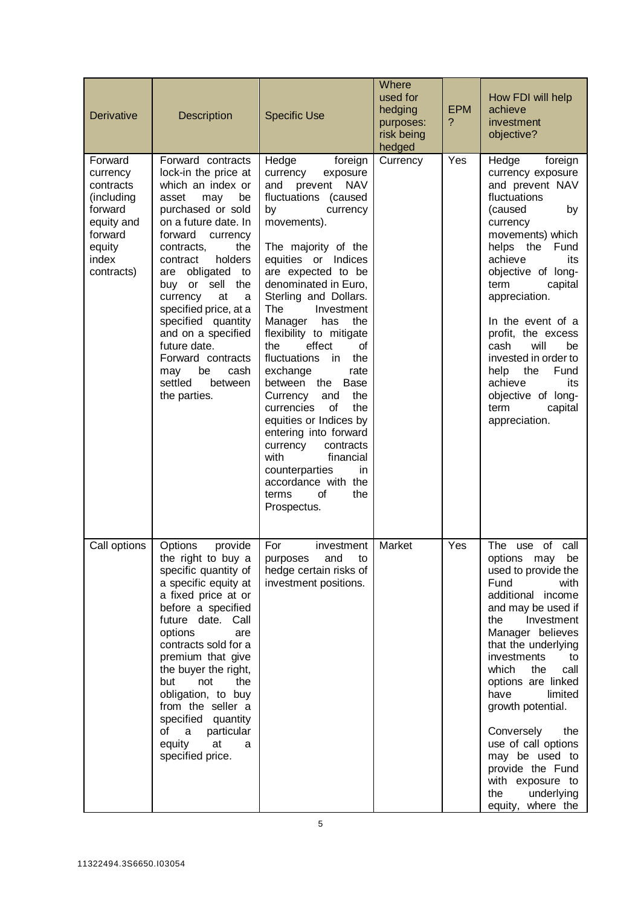| Derivative                                                                                                          | Description                                                                                                                                                                                                                                                                                                                                                                                                                                      | <b>Specific Use</b>                                                                                                                                                                                                                                                                                                                                                                                                                                                                                                                                                                                                                                               | Where<br>used for<br>hedging<br>purposes:<br>risk being<br>hedged | <b>EPM</b><br>? | How FDI will help<br>achieve<br>investment<br>objective?                                                                                                                                                                                                                                                                                                                                                                                          |
|---------------------------------------------------------------------------------------------------------------------|--------------------------------------------------------------------------------------------------------------------------------------------------------------------------------------------------------------------------------------------------------------------------------------------------------------------------------------------------------------------------------------------------------------------------------------------------|-------------------------------------------------------------------------------------------------------------------------------------------------------------------------------------------------------------------------------------------------------------------------------------------------------------------------------------------------------------------------------------------------------------------------------------------------------------------------------------------------------------------------------------------------------------------------------------------------------------------------------------------------------------------|-------------------------------------------------------------------|-----------------|---------------------------------------------------------------------------------------------------------------------------------------------------------------------------------------------------------------------------------------------------------------------------------------------------------------------------------------------------------------------------------------------------------------------------------------------------|
| Forward<br>currency<br>contracts<br>(including<br>forward<br>equity and<br>forward<br>equity<br>index<br>contracts) | Forward contracts<br>lock-in the price at<br>which an index or<br>be<br>asset<br>may<br>purchased or sold<br>on a future date. In<br>forward<br>currency<br>contracts,<br>the<br>holders<br>contract<br>obligated<br>are<br>to<br>buy or sell<br>the<br>currency<br>at<br>a<br>specified price, at a<br>specified quantity<br>and on a specified<br>future date.<br>Forward contracts<br>be<br>cash<br>may<br>settled<br>between<br>the parties. | Hedge<br>foreign<br>currency<br>exposure<br>prevent NAV<br>and<br>fluctuations (caused<br>by<br>currency<br>movements).<br>The majority of the<br>equities or Indices<br>are expected to be<br>denominated in Euro,<br>Sterling and Dollars.<br>The<br>Investment<br>Manager<br>has<br>the<br>flexibility to mitigate<br>effect<br>of<br>the<br>fluctuations<br>in i<br>the<br>exchange<br>rate<br>between the<br>Base<br>Currency<br>the<br>and<br>the<br>currencies<br>οf<br>equities or Indices by<br>entering into forward<br>contracts<br>currency<br>with<br>financial<br>counterparties<br>in.<br>accordance with the<br>of<br>the<br>terms<br>Prospectus. | Currency                                                          | Yes             | Hedge<br>foreign<br>currency exposure<br>and prevent NAV<br>fluctuations<br>(caused<br>by<br>currency<br>movements) which<br>helps the<br>Fund<br>achieve<br>its<br>objective of long-<br>term<br>capital<br>appreciation.<br>In the event of a<br>profit, the excess<br>will<br>be<br>cash<br>invested in order to<br>Fund<br>help<br>the<br>achieve<br>its<br>objective of long-<br>term<br>capital<br>appreciation.                            |
| Call options                                                                                                        | provide<br>Options<br>the right to buy a<br>specific quantity of<br>a specific equity at<br>a fixed price at or<br>before a specified<br>future date. Call<br>options<br>are<br>contracts sold for a<br>premium that give<br>the buyer the right,<br>not<br>the<br>but<br>obligation, to buy<br>from the seller a<br>specified quantity<br>a particular<br>of<br>equity at<br>a<br>specified price.                                              | For<br>investment<br>purposes and to<br>hedge certain risks of<br>investment positions.                                                                                                                                                                                                                                                                                                                                                                                                                                                                                                                                                                           | Market                                                            | Yes             | The use of<br>call<br>options may be<br>used to provide the<br>Fund<br>with<br>additional income<br>and may be used if<br>Investment<br>the<br>Manager believes<br>that the underlying<br>investments<br>to<br>which<br>the<br>call<br>options are linked<br>have<br>limited<br>growth potential.<br>Conversely<br>the<br>use of call options<br>may be used to<br>provide the Fund<br>with exposure to<br>the<br>underlying<br>equity, where the |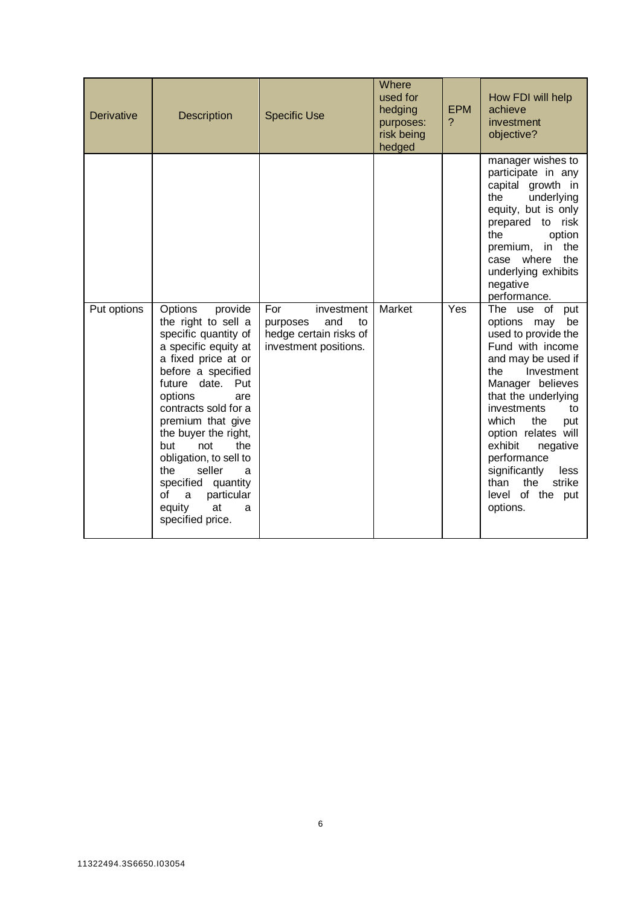| <b>Derivative</b> | <b>Description</b>                                                                                                                                                                                                                                                                                                                                                                                             | <b>Specific Use</b>                                                                           | Where<br>used for<br>hedging<br>purposes:<br>risk being<br>hedged | <b>EPM</b><br>$\mathcal{P}$ | How FDI will help<br>achieve<br>investment<br>objective?                                                                                                                                                                                                                                                                                                              |
|-------------------|----------------------------------------------------------------------------------------------------------------------------------------------------------------------------------------------------------------------------------------------------------------------------------------------------------------------------------------------------------------------------------------------------------------|-----------------------------------------------------------------------------------------------|-------------------------------------------------------------------|-----------------------------|-----------------------------------------------------------------------------------------------------------------------------------------------------------------------------------------------------------------------------------------------------------------------------------------------------------------------------------------------------------------------|
|                   |                                                                                                                                                                                                                                                                                                                                                                                                                |                                                                                               |                                                                   |                             | manager wishes to<br>participate in any<br>capital growth in<br>underlying<br>the<br>equity, but is only<br>prepared to risk<br>the<br>option<br>the<br>premium, in<br>the<br>case where<br>underlying exhibits<br>negative<br>performance.                                                                                                                           |
| Put options       | Options<br>provide<br>the right to sell a<br>specific quantity of<br>a specific equity at<br>a fixed price at or<br>before a specified<br>future date. Put<br>options<br>are<br>contracts sold for a<br>premium that give<br>the buyer the right,<br>but<br>not<br>the<br>obligation, to sell to<br>the<br>seller<br>a<br>specified quantity<br>particular<br>of<br>a<br>at<br>equity<br>a<br>specified price. | For<br>investment<br>and<br>purposes<br>to<br>hedge certain risks of<br>investment positions. | Market                                                            | Yes                         | The use<br>of<br>put<br>options may<br>be<br>used to provide the<br>Fund with income<br>and may be used if<br>the<br>Investment<br>Manager believes<br>that the underlying<br>investments<br>to<br>which<br>the<br>put<br>option relates will<br>exhibit<br>negative<br>performance<br>significantly<br>less<br>the<br>strike<br>than<br>level of the put<br>options. |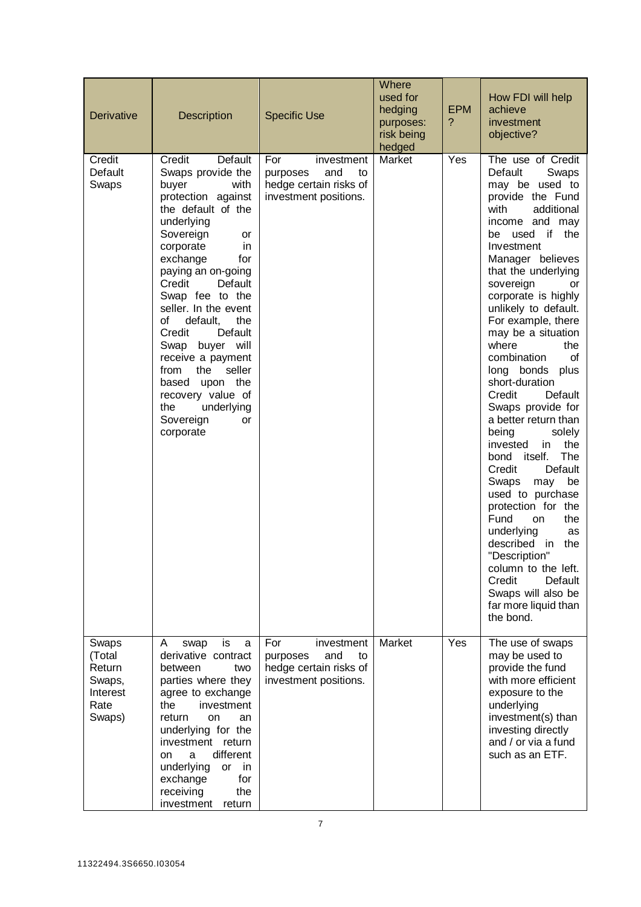| <b>Derivative</b>                                                 | Description                                                                                                                                                                                                                                                                                                                                                                                                                                                                           | <b>Specific Use</b>                                                                           | Where<br>used for<br>hedging<br>purposes:<br>risk being<br>hedged | <b>EPM</b><br>? | How FDI will help<br>achieve<br>investment<br>objective?                                                                                                                                                                                                                                                                                                                                                                                                                                                                                                                                                                                                                                                                                                                                                     |
|-------------------------------------------------------------------|---------------------------------------------------------------------------------------------------------------------------------------------------------------------------------------------------------------------------------------------------------------------------------------------------------------------------------------------------------------------------------------------------------------------------------------------------------------------------------------|-----------------------------------------------------------------------------------------------|-------------------------------------------------------------------|-----------------|--------------------------------------------------------------------------------------------------------------------------------------------------------------------------------------------------------------------------------------------------------------------------------------------------------------------------------------------------------------------------------------------------------------------------------------------------------------------------------------------------------------------------------------------------------------------------------------------------------------------------------------------------------------------------------------------------------------------------------------------------------------------------------------------------------------|
| Credit<br>Default<br>Swaps                                        | Credit<br>Default<br>Swaps provide the<br>buyer<br>with<br>protection against<br>the default of the<br>underlying<br>Sovereign<br>or<br>corporate<br>in<br>exchange<br>for<br>paying an on-going<br>Credit<br>Default<br>Swap fee to the<br>seller. In the event<br>of<br>default,<br>the<br>Credit<br>Default<br>Swap buyer will<br>receive a payment<br>the<br>seller<br>from<br>upon the<br>based<br>recovery value of<br>the<br>underlying<br>Sovereign<br><b>or</b><br>corporate | For<br>investment<br>and<br>purposes<br>to<br>hedge certain risks of<br>investment positions. | Market                                                            | Yes             | The use of Credit<br>Default<br>Swaps<br>may be used to<br>provide the Fund<br>with<br>additional<br>income and may<br>used if the<br>be<br>Investment<br>Manager believes<br>that the underlying<br>sovereign<br>or<br>corporate is highly<br>unlikely to default.<br>For example, there<br>may be a situation<br>where<br>the<br>combination<br>οf<br>long bonds plus<br>short-duration<br>Credit<br>Default<br>Swaps provide for<br>a better return than<br>being<br>solely<br>the<br>invested<br>in.<br>The<br>bond itself.<br>Credit<br>Default<br>be<br>Swaps<br>may<br>used to purchase<br>protection for the<br>Fund<br>the<br>on<br>underlying<br>as<br>described in<br>the<br>"Description"<br>column to the left.<br>Credit<br>Default<br>Swaps will also be<br>far more liquid than<br>the bond. |
| Swaps<br>(Total<br>Return<br>Swaps,<br>Interest<br>Rate<br>Swaps) | is<br>A<br>swap<br>a<br>derivative contract<br>between<br>two<br>parties where they<br>agree to exchange<br>the<br>investment<br>return<br><b>on</b><br>an<br>underlying for the<br>investment return<br>different<br>a<br>on<br>underlying<br>or<br>in<br>exchange<br>for<br>receiving<br>the<br>investment<br>return                                                                                                                                                                | For<br>investment<br>and<br>purposes<br>to<br>hedge certain risks of<br>investment positions. | Market                                                            | Yes             | The use of swaps<br>may be used to<br>provide the fund<br>with more efficient<br>exposure to the<br>underlying<br>investment(s) than<br>investing directly<br>and / or via a fund<br>such as an ETF.                                                                                                                                                                                                                                                                                                                                                                                                                                                                                                                                                                                                         |

7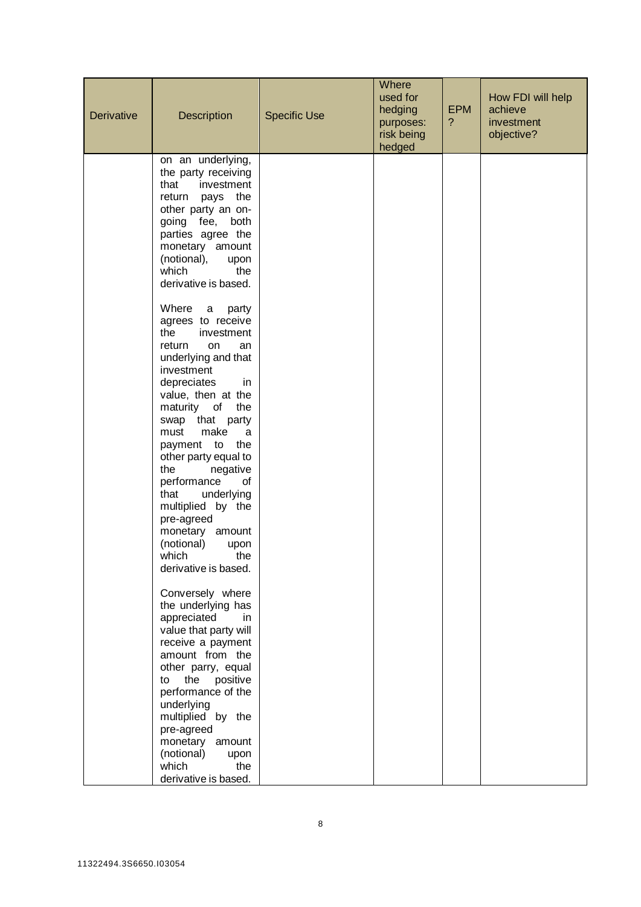| Derivative | Description                                                                                                                                                                                                                                                                                                                                                                                                                                                                                                                                                                                                                                                                                                          | <b>Specific Use</b> | Where<br>used for<br>hedging<br>purposes:<br>risk being<br>hedged | <b>EPM</b><br>? | How FDI will help<br>achieve<br>investment<br>objective? |
|------------|----------------------------------------------------------------------------------------------------------------------------------------------------------------------------------------------------------------------------------------------------------------------------------------------------------------------------------------------------------------------------------------------------------------------------------------------------------------------------------------------------------------------------------------------------------------------------------------------------------------------------------------------------------------------------------------------------------------------|---------------------|-------------------------------------------------------------------|-----------------|----------------------------------------------------------|
|            | on an underlying,<br>the party receiving<br>that<br>investment<br>return<br>pays<br>the<br>other party an on-<br>going fee,<br>both<br>parties agree the<br>monetary amount<br>(notional),<br>upon<br>which<br>the<br>derivative is based.<br>Where<br>a<br>party<br>agrees to receive<br>the<br>investment<br>return<br>on<br>an<br>underlying and that<br>investment<br>depreciates<br>in<br>value, then at the<br>maturity of<br>the<br>that party<br>swap<br>make<br>must<br>a<br>payment to<br>the<br>other party equal to<br>the<br>negative<br>performance<br>of<br>underlying<br>that<br>multiplied by the<br>pre-agreed<br>monetary<br>amount<br>(notional)<br>upon<br>which<br>the<br>derivative is based. |                     |                                                                   |                 |                                                          |
|            | Conversely where<br>the underlying has<br>appreciated<br>in<br>value that party will<br>receive a payment<br>amount from the<br>other parry, equal<br>the<br>positive<br>to<br>performance of the<br>underlying<br>multiplied by the<br>pre-agreed<br>monetary amount<br>(notional)<br>upon<br>which<br>the<br>derivative is based.                                                                                                                                                                                                                                                                                                                                                                                  |                     |                                                                   |                 |                                                          |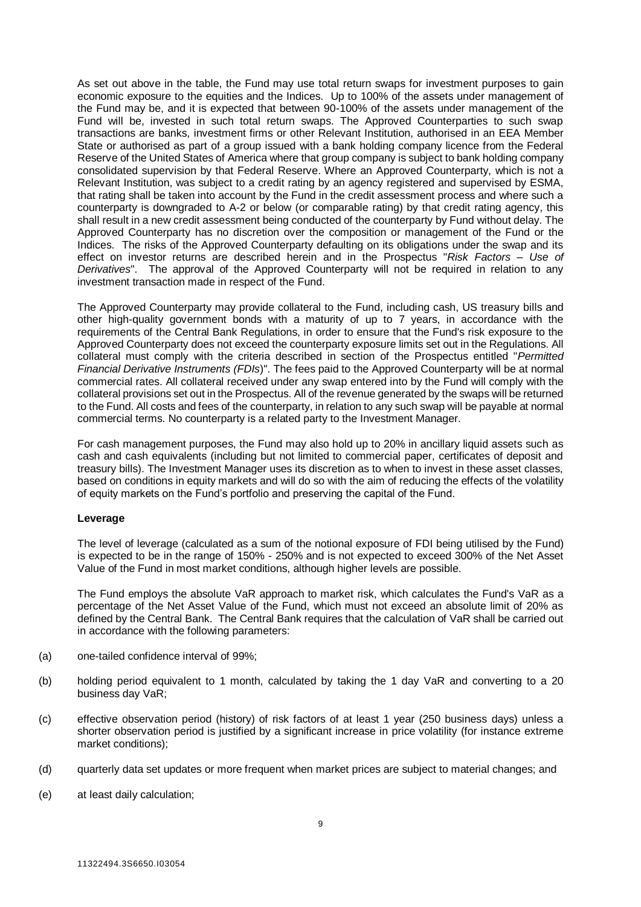As set out above in the table, the Fund may use total return swaps for investment purposes to gain economic exposure to the equities and the Indices. Up to 100% of the assets under management of the Fund may be, and it is expected that between 90-100% of the assets under management of the Fund will be, invested in such total return swaps. The Approved Counterparties to such swap transactions are banks, investment firms or other Relevant Institution, authorised in an EEA Member State or authorised as part of a group issued with a bank holding company licence from the Federal Reserve of the United States of America where that group company is subject to bank holding company consolidated supervision by that Federal Reserve. Where an Approved Counterparty, which is not a Relevant Institution, was subject to a credit rating by an agency registered and supervised by ESMA, that rating shall be taken into account by the Fund in the credit assessment process and where such a counterparty is downgraded to A-2 or below (or comparable rating) by that credit rating agency, this shall result in a new credit assessment being conducted of the counterparty by Fund without delay. The Approved Counterparty has no discretion over the composition or management of the Fund or the Indices. The risks of the Approved Counterparty defaulting on its obligations under the swap and its effect on investor returns are described herein and in the Prospectus "*Risk Factors – Use of Derivatives*". The approval of the Approved Counterparty will not be required in relation to any investment transaction made in respect of the Fund.

The Approved Counterparty may provide collateral to the Fund, including cash, US treasury bills and other high-quality government bonds with a maturity of up to 7 years, in accordance with the requirements of the Central Bank Regulations, in order to ensure that the Fund's risk exposure to the Approved Counterparty does not exceed the counterparty exposure limits set out in the Regulations. All collateral must comply with the criteria described in section of the Prospectus entitled "*Permitted Financial Derivative Instruments (FDIs*)". The fees paid to the Approved Counterparty will be at normal commercial rates. All collateral received under any swap entered into by the Fund will comply with the collateral provisions set out in the Prospectus. All of the revenue generated by the swaps will be returned to the Fund. All costs and fees of the counterparty, in relation to any such swap will be payable at normal commercial terms. No counterparty is a related party to the Investment Manager.

For cash management purposes, the Fund may also hold up to 20% in ancillary liquid assets such as cash and cash equivalents (including but not limited to commercial paper, certificates of deposit and treasury bills). The Investment Manager uses its discretion as to when to invest in these asset classes, based on conditions in equity markets and will do so with the aim of reducing the effects of the volatility of equity markets on the Fund's portfolio and preserving the capital of the Fund.

# **Leverage**

The level of leverage (calculated as a sum of the notional exposure of FDI being utilised by the Fund) is expected to be in the range of 150% - 250% and is not expected to exceed 300% of the Net Asset Value of the Fund in most market conditions, although higher levels are possible.

The Fund employs the absolute VaR approach to market risk, which calculates the Fund's VaR as a percentage of the Net Asset Value of the Fund, which must not exceed an absolute limit of 20% as defined by the Central Bank. The Central Bank requires that the calculation of VaR shall be carried out in accordance with the following parameters:

- (a) one-tailed confidence interval of 99%;
- (b) holding period equivalent to 1 month, calculated by taking the 1 day VaR and converting to a 20 business day VaR;
- (c) effective observation period (history) of risk factors of at least 1 year (250 business days) unless a shorter observation period is justified by a significant increase in price volatility (for instance extreme market conditions);
- (d) quarterly data set updates or more frequent when market prices are subject to material changes; and
- (e) at least daily calculation;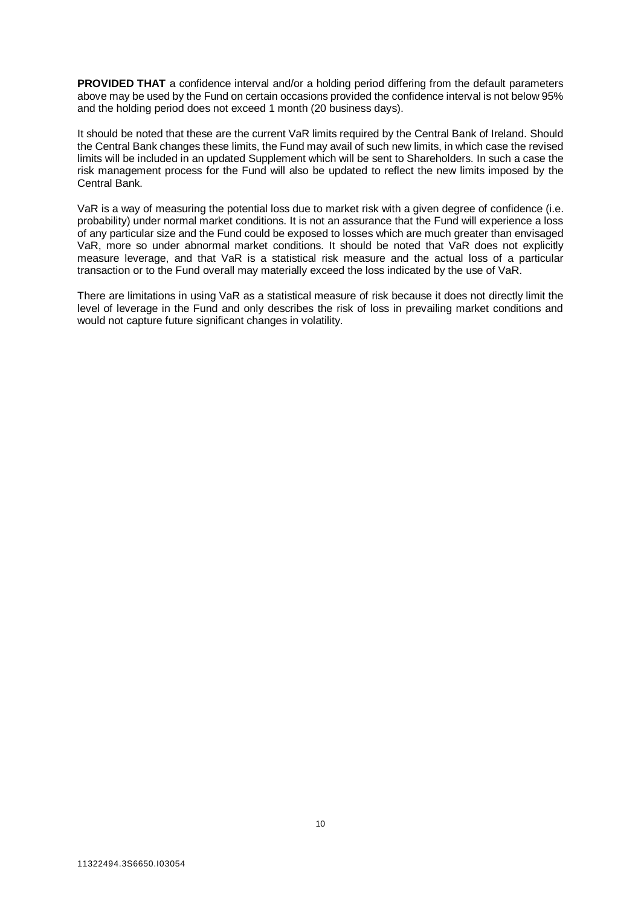**PROVIDED THAT** a confidence interval and/or a holding period differing from the default parameters above may be used by the Fund on certain occasions provided the confidence interval is not below 95% and the holding period does not exceed 1 month (20 business days).

It should be noted that these are the current VaR limits required by the Central Bank of Ireland. Should the Central Bank changes these limits, the Fund may avail of such new limits, in which case the revised limits will be included in an updated Supplement which will be sent to Shareholders. In such a case the risk management process for the Fund will also be updated to reflect the new limits imposed by the Central Bank.

VaR is a way of measuring the potential loss due to market risk with a given degree of confidence (i.e. probability) under normal market conditions. It is not an assurance that the Fund will experience a loss of any particular size and the Fund could be exposed to losses which are much greater than envisaged VaR, more so under abnormal market conditions. It should be noted that VaR does not explicitly measure leverage, and that VaR is a statistical risk measure and the actual loss of a particular transaction or to the Fund overall may materially exceed the loss indicated by the use of VaR.

There are limitations in using VaR as a statistical measure of risk because it does not directly limit the level of leverage in the Fund and only describes the risk of loss in prevailing market conditions and would not capture future significant changes in volatility.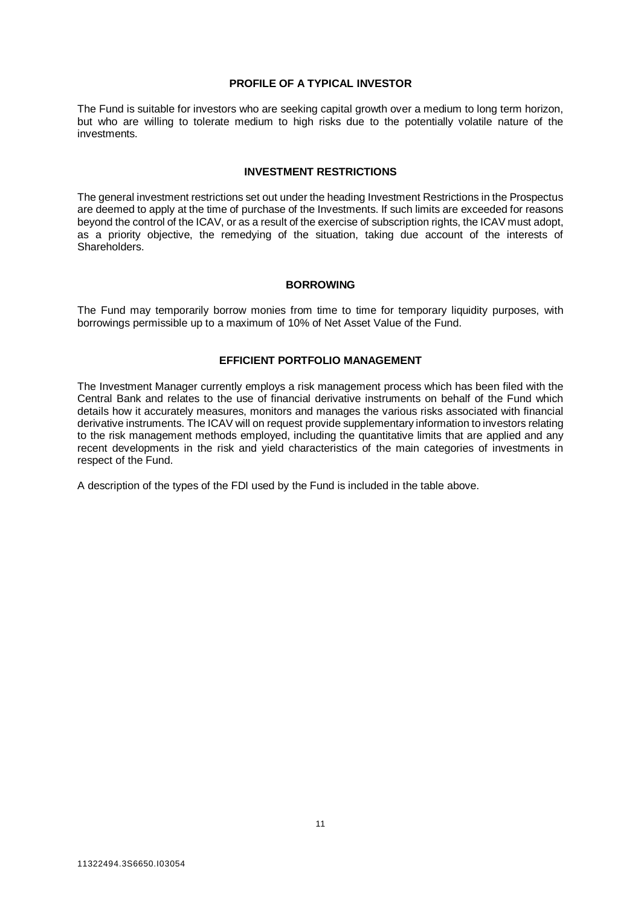# **PROFILE OF A TYPICAL INVESTOR**

<span id="page-10-0"></span>The Fund is suitable for investors who are seeking capital growth over a medium to long term horizon, but who are willing to tolerate medium to high risks due to the potentially volatile nature of the investments.

#### **INVESTMENT RESTRICTIONS**

<span id="page-10-1"></span>The general investment restrictions set out under the heading Investment Restrictions in the Prospectus are deemed to apply at the time of purchase of the Investments. If such limits are exceeded for reasons beyond the control of the ICAV, or as a result of the exercise of subscription rights, the ICAV must adopt, as a priority objective, the remedying of the situation, taking due account of the interests of Shareholders.

#### **BORROWING**

<span id="page-10-3"></span><span id="page-10-2"></span>The Fund may temporarily borrow monies from time to time for temporary liquidity purposes, with borrowings permissible up to a maximum of 10% of Net Asset Value of the Fund.

# **EFFICIENT PORTFOLIO MANAGEMENT**

The Investment Manager currently employs a risk management process which has been filed with the Central Bank and relates to the use of financial derivative instruments on behalf of the Fund which details how it accurately measures, monitors and manages the various risks associated with financial derivative instruments. The ICAV will on request provide supplementary information to investors relating to the risk management methods employed, including the quantitative limits that are applied and any recent developments in the risk and yield characteristics of the main categories of investments in respect of the Fund.

A description of the types of the FDI used by the Fund is included in the table above.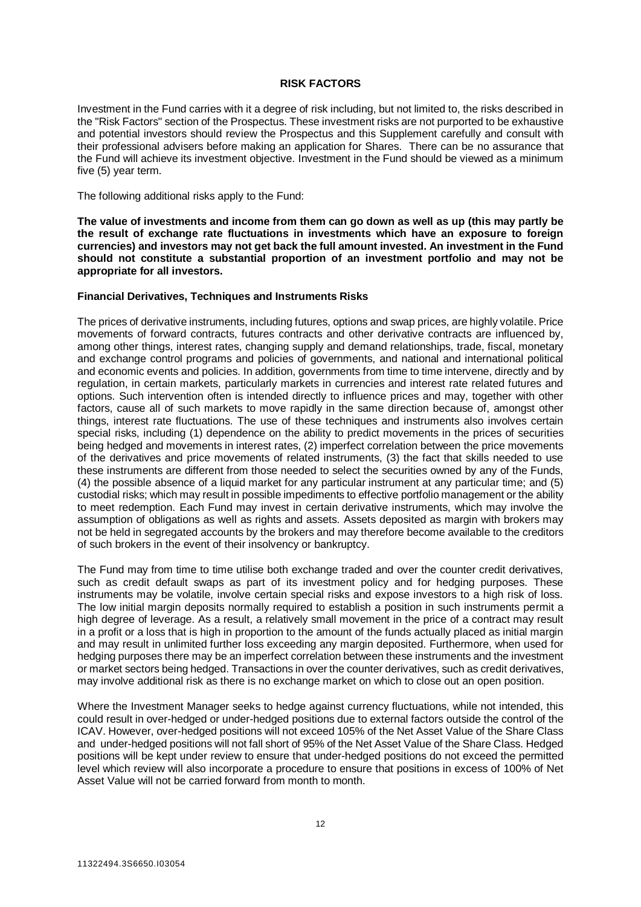# **RISK FACTORS**

<span id="page-11-0"></span>Investment in the Fund carries with it a degree of risk including, but not limited to, the risks described in the "Risk Factors" section of the Prospectus. These investment risks are not purported to be exhaustive and potential investors should review the Prospectus and this Supplement carefully and consult with their professional advisers before making an application for Shares. There can be no assurance that the Fund will achieve its investment objective. Investment in the Fund should be viewed as a minimum five (5) year term.

The following additional risks apply to the Fund:

**The value of investments and income from them can go down as well as up (this may partly be the result of exchange rate fluctuations in investments which have an exposure to foreign currencies) and investors may not get back the full amount invested. An investment in the Fund should not constitute a substantial proportion of an investment portfolio and may not be appropriate for all investors.** 

#### **Financial Derivatives, Techniques and Instruments Risks**

The prices of derivative instruments, including futures, options and swap prices, are highly volatile. Price movements of forward contracts, futures contracts and other derivative contracts are influenced by, among other things, interest rates, changing supply and demand relationships, trade, fiscal, monetary and exchange control programs and policies of governments, and national and international political and economic events and policies. In addition, governments from time to time intervene, directly and by regulation, in certain markets, particularly markets in currencies and interest rate related futures and options. Such intervention often is intended directly to influence prices and may, together with other factors, cause all of such markets to move rapidly in the same direction because of, amongst other things, interest rate fluctuations. The use of these techniques and instruments also involves certain special risks, including (1) dependence on the ability to predict movements in the prices of securities being hedged and movements in interest rates, (2) imperfect correlation between the price movements of the derivatives and price movements of related instruments, (3) the fact that skills needed to use these instruments are different from those needed to select the securities owned by any of the Funds, (4) the possible absence of a liquid market for any particular instrument at any particular time; and (5) custodial risks; which may result in possible impediments to effective portfolio management or the ability to meet redemption. Each Fund may invest in certain derivative instruments, which may involve the assumption of obligations as well as rights and assets. Assets deposited as margin with brokers may not be held in segregated accounts by the brokers and may therefore become available to the creditors of such brokers in the event of their insolvency or bankruptcy.

The Fund may from time to time utilise both exchange traded and over the counter credit derivatives, such as credit default swaps as part of its investment policy and for hedging purposes. These instruments may be volatile, involve certain special risks and expose investors to a high risk of loss. The low initial margin deposits normally required to establish a position in such instruments permit a high degree of leverage. As a result, a relatively small movement in the price of a contract may result in a profit or a loss that is high in proportion to the amount of the funds actually placed as initial margin and may result in unlimited further loss exceeding any margin deposited. Furthermore, when used for hedging purposes there may be an imperfect correlation between these instruments and the investment or market sectors being hedged. Transactions in over the counter derivatives, such as credit derivatives, may involve additional risk as there is no exchange market on which to close out an open position.

Where the Investment Manager seeks to hedge against currency fluctuations, while not intended, this could result in over-hedged or under-hedged positions due to external factors outside the control of the ICAV. However, over-hedged positions will not exceed 105% of the Net Asset Value of the Share Class and under-hedged positions will not fall short of 95% of the Net Asset Value of the Share Class. Hedged positions will be kept under review to ensure that under-hedged positions do not exceed the permitted level which review will also incorporate a procedure to ensure that positions in excess of 100% of Net Asset Value will not be carried forward from month to month.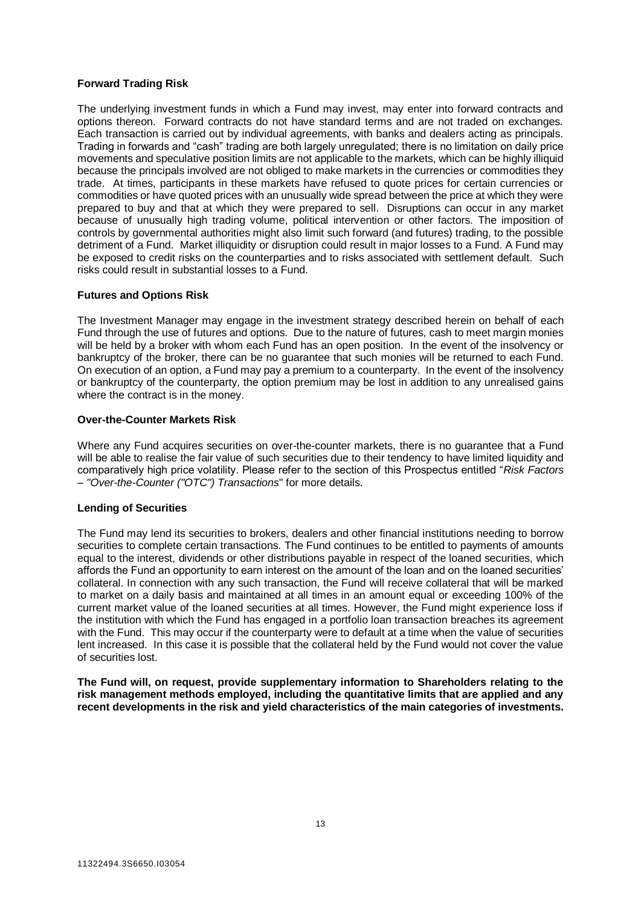# **Forward Trading Risk**

The underlying investment funds in which a Fund may invest, may enter into forward contracts and options thereon. Forward contracts do not have standard terms and are not traded on exchanges. Each transaction is carried out by individual agreements, with banks and dealers acting as principals. Trading in forwards and "cash" trading are both largely unregulated; there is no limitation on daily price movements and speculative position limits are not applicable to the markets, which can be highly illiquid because the principals involved are not obliged to make markets in the currencies or commodities they trade. At times, participants in these markets have refused to quote prices for certain currencies or commodities or have quoted prices with an unusually wide spread between the price at which they were prepared to buy and that at which they were prepared to sell. Disruptions can occur in any market because of unusually high trading volume, political intervention or other factors. The imposition of controls by governmental authorities might also limit such forward (and futures) trading, to the possible detriment of a Fund. Market illiquidity or disruption could result in major losses to a Fund. A Fund may be exposed to credit risks on the counterparties and to risks associated with settlement default. Such risks could result in substantial losses to a Fund.

# **Futures and Options Risk**

The Investment Manager may engage in the investment strategy described herein on behalf of each Fund through the use of futures and options. Due to the nature of futures, cash to meet margin monies will be held by a broker with whom each Fund has an open position. In the event of the insolvency or bankruptcy of the broker, there can be no guarantee that such monies will be returned to each Fund. On execution of an option, a Fund may pay a premium to a counterparty. In the event of the insolvency or bankruptcy of the counterparty, the option premium may be lost in addition to any unrealised gains where the contract is in the money.

# **Over-the-Counter Markets Risk**

Where any Fund acquires securities on over-the-counter markets, there is no guarantee that a Fund will be able to realise the fair value of such securities due to their tendency to have limited liquidity and comparatively high price volatility. Please refer to the section of this Prospectus entitled "*Risk Factors – "Over-the-Counter ("OTC") Transactions*" for more details.

# **Lending of Securities**

The Fund may lend its securities to brokers, dealers and other financial institutions needing to borrow securities to complete certain transactions. The Fund continues to be entitled to payments of amounts equal to the interest, dividends or other distributions payable in respect of the loaned securities, which affords the Fund an opportunity to earn interest on the amount of the loan and on the loaned securities' collateral. In connection with any such transaction, the Fund will receive collateral that will be marked to market on a daily basis and maintained at all times in an amount equal or exceeding 100% of the current market value of the loaned securities at all times. However, the Fund might experience loss if the institution with which the Fund has engaged in a portfolio loan transaction breaches its agreement with the Fund. This may occur if the counterparty were to default at a time when the value of securities lent increased. In this case it is possible that the collateral held by the Fund would not cover the value of securities lost.

**The Fund will, on request, provide supplementary information to Shareholders relating to the risk management methods employed, including the quantitative limits that are applied and any recent developments in the risk and yield characteristics of the main categories of investments.**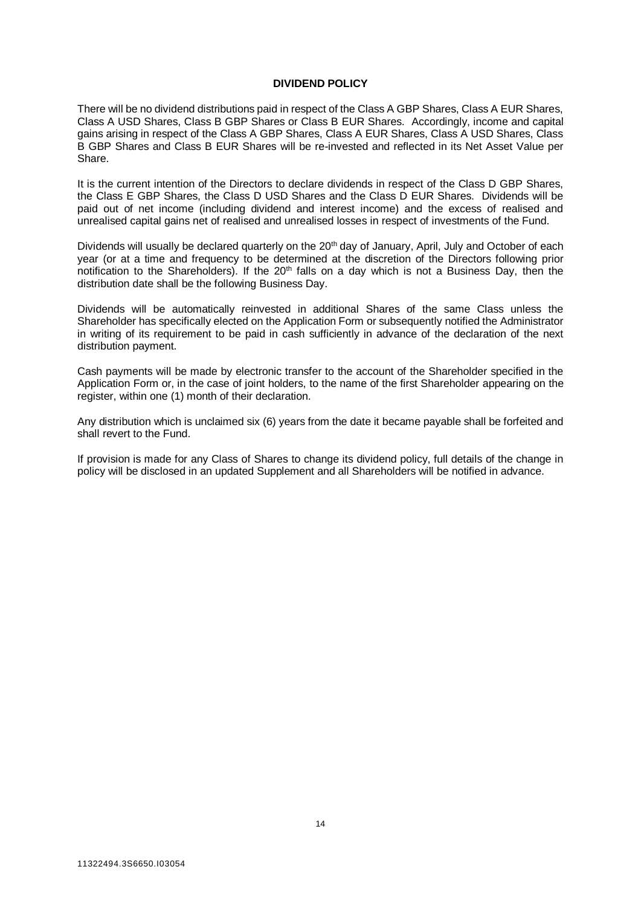# **DIVIDEND POLICY**

<span id="page-13-0"></span>There will be no dividend distributions paid in respect of the Class A GBP Shares, Class A EUR Shares, Class A USD Shares, Class B GBP Shares or Class B EUR Shares. Accordingly, income and capital gains arising in respect of the Class A GBP Shares, Class A EUR Shares, Class A USD Shares, Class B GBP Shares and Class B EUR Shares will be re-invested and reflected in its Net Asset Value per Share.

It is the current intention of the Directors to declare dividends in respect of the Class D GBP Shares, the Class E GBP Shares, the Class D USD Shares and the Class D EUR Shares. Dividends will be paid out of net income (including dividend and interest income) and the excess of realised and unrealised capital gains net of realised and unrealised losses in respect of investments of the Fund.

Dividends will usually be declared quarterly on the 20<sup>th</sup> day of January, April, July and October of each year (or at a time and frequency to be determined at the discretion of the Directors following prior notification to the Shareholders). If the 20<sup>th</sup> falls on a day which is not a Business Day, then the distribution date shall be the following Business Day.

Dividends will be automatically reinvested in additional Shares of the same Class unless the Shareholder has specifically elected on the Application Form or subsequently notified the Administrator in writing of its requirement to be paid in cash sufficiently in advance of the declaration of the next distribution payment.

Cash payments will be made by electronic transfer to the account of the Shareholder specified in the Application Form or, in the case of joint holders, to the name of the first Shareholder appearing on the register, within one (1) month of their declaration.

Any distribution which is unclaimed six (6) years from the date it became payable shall be forfeited and shall revert to the Fund.

If provision is made for any Class of Shares to change its dividend policy, full details of the change in policy will be disclosed in an updated Supplement and all Shareholders will be notified in advance.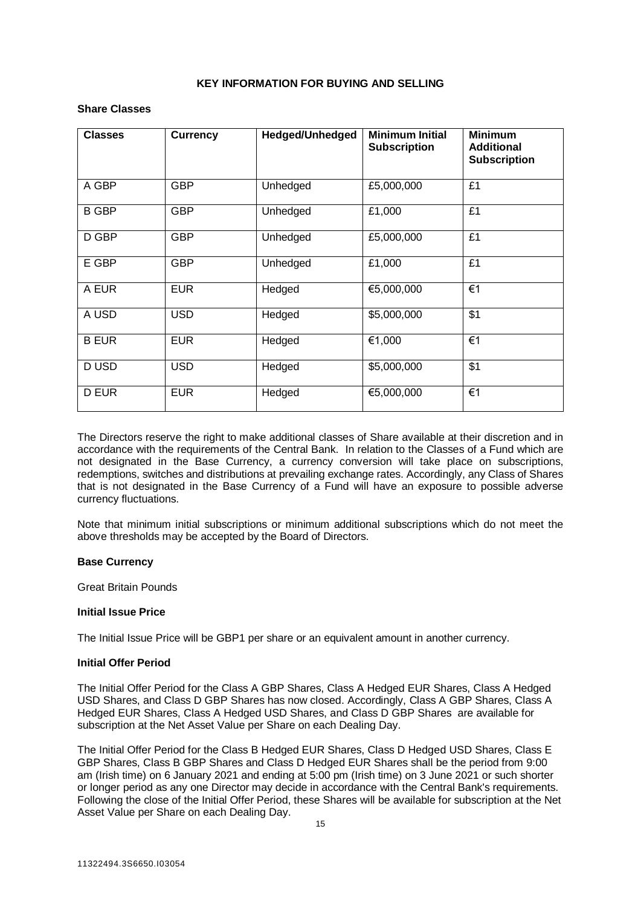# **KEY INFORMATION FOR BUYING AND SELLING**

# <span id="page-14-0"></span>**Share Classes**

| <b>Classes</b> | <b>Currency</b> | <b>Hedged/Unhedged</b> | <b>Minimum Initial</b><br><b>Subscription</b> | <b>Minimum</b><br><b>Additional</b><br><b>Subscription</b> |
|----------------|-----------------|------------------------|-----------------------------------------------|------------------------------------------------------------|
| A GBP          | <b>GBP</b>      | Unhedged               | £5,000,000                                    | £1                                                         |
| <b>B GBP</b>   | <b>GBP</b>      | Unhedged               | £1,000                                        | £1                                                         |
| D GBP          | <b>GBP</b>      | Unhedged               | £5,000,000                                    | £1                                                         |
| E GBP          | <b>GBP</b>      | Unhedged               | £1,000                                        | £1                                                         |
| A EUR          | <b>EUR</b>      | Hedged                 | €5,000,000                                    | €1                                                         |
| A USD          | <b>USD</b>      | Hedged                 | \$5,000,000                                   | \$1                                                        |
| <b>B EUR</b>   | <b>EUR</b>      | Hedged                 | €1,000                                        | €1                                                         |
| D USD          | <b>USD</b>      | Hedged                 | \$5,000,000                                   | \$1                                                        |
| <b>D EUR</b>   | <b>EUR</b>      | Hedged                 | €5,000,000                                    | €1                                                         |

The Directors reserve the right to make additional classes of Share available at their discretion and in accordance with the requirements of the Central Bank. In relation to the Classes of a Fund which are not designated in the Base Currency, a currency conversion will take place on subscriptions, redemptions, switches and distributions at prevailing exchange rates. Accordingly, any Class of Shares that is not designated in the Base Currency of a Fund will have an exposure to possible adverse currency fluctuations.

Note that minimum initial subscriptions or minimum additional subscriptions which do not meet the above thresholds may be accepted by the Board of Directors.

# **Base Currency**

Great Britain Pounds

# **Initial Issue Price**

The Initial Issue Price will be GBP1 per share or an equivalent amount in another currency.

# **Initial Offer Period**

The Initial Offer Period for the Class A GBP Shares, Class A Hedged EUR Shares, Class A Hedged USD Shares, and Class D GBP Shares has now closed. Accordingly, Class A GBP Shares, Class A Hedged EUR Shares, Class A Hedged USD Shares, and Class D GBP Shares are available for subscription at the Net Asset Value per Share on each Dealing Day.

The Initial Offer Period for the Class B Hedged EUR Shares, Class D Hedged USD Shares, Class E GBP Shares, Class B GBP Shares and Class D Hedged EUR Shares shall be the period from 9:00 am (Irish time) on 6 January 2021 and ending at 5:00 pm (Irish time) on 3 June 2021 or such shorter or longer period as any one Director may decide in accordance with the Central Bank's requirements. Following the close of the Initial Offer Period, these Shares will be available for subscription at the Net Asset Value per Share on each Dealing Day.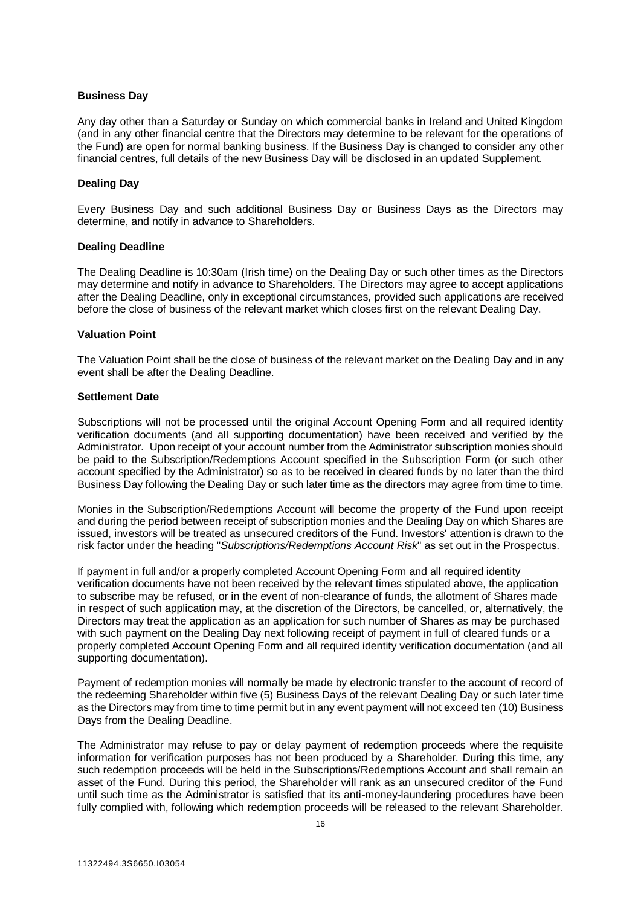# **Business Day**

Any day other than a Saturday or Sunday on which commercial banks in Ireland and United Kingdom (and in any other financial centre that the Directors may determine to be relevant for the operations of the Fund) are open for normal banking business. If the Business Day is changed to consider any other financial centres, full details of the new Business Day will be disclosed in an updated Supplement.

# **Dealing Day**

Every Business Day and such additional Business Day or Business Days as the Directors may determine, and notify in advance to Shareholders.

# **Dealing Deadline**

The Dealing Deadline is 10:30am (Irish time) on the Dealing Day or such other times as the Directors may determine and notify in advance to Shareholders. The Directors may agree to accept applications after the Dealing Deadline, only in exceptional circumstances, provided such applications are received before the close of business of the relevant market which closes first on the relevant Dealing Day.

# **Valuation Point**

The Valuation Point shall be the close of business of the relevant market on the Dealing Day and in any event shall be after the Dealing Deadline.

# **Settlement Date**

Subscriptions will not be processed until the original Account Opening Form and all required identity verification documents (and all supporting documentation) have been received and verified by the Administrator. Upon receipt of your account number from the Administrator subscription monies should be paid to the Subscription/Redemptions Account specified in the Subscription Form (or such other account specified by the Administrator) so as to be received in cleared funds by no later than the third Business Day following the Dealing Day or such later time as the directors may agree from time to time.

Monies in the Subscription/Redemptions Account will become the property of the Fund upon receipt and during the period between receipt of subscription monies and the Dealing Day on which Shares are issued, investors will be treated as unsecured creditors of the Fund. Investors' attention is drawn to the risk factor under the heading "*Subscriptions/Redemptions Account Risk*" as set out in the Prospectus.

If payment in full and/or a properly completed Account Opening Form and all required identity verification documents have not been received by the relevant times stipulated above, the application to subscribe may be refused, or in the event of non-clearance of funds, the allotment of Shares made in respect of such application may, at the discretion of the Directors, be cancelled, or, alternatively, the Directors may treat the application as an application for such number of Shares as may be purchased with such payment on the Dealing Day next following receipt of payment in full of cleared funds or a properly completed Account Opening Form and all required identity verification documentation (and all supporting documentation).

Payment of redemption monies will normally be made by electronic transfer to the account of record of the redeeming Shareholder within five (5) Business Days of the relevant Dealing Day or such later time as the Directors may from time to time permit but in any event payment will not exceed ten (10) Business Days from the Dealing Deadline.

The Administrator may refuse to pay or delay payment of redemption proceeds where the requisite information for verification purposes has not been produced by a Shareholder. During this time, any such redemption proceeds will be held in the Subscriptions/Redemptions Account and shall remain an asset of the Fund. During this period, the Shareholder will rank as an unsecured creditor of the Fund until such time as the Administrator is satisfied that its anti-money-laundering procedures have been fully complied with, following which redemption proceeds will be released to the relevant Shareholder.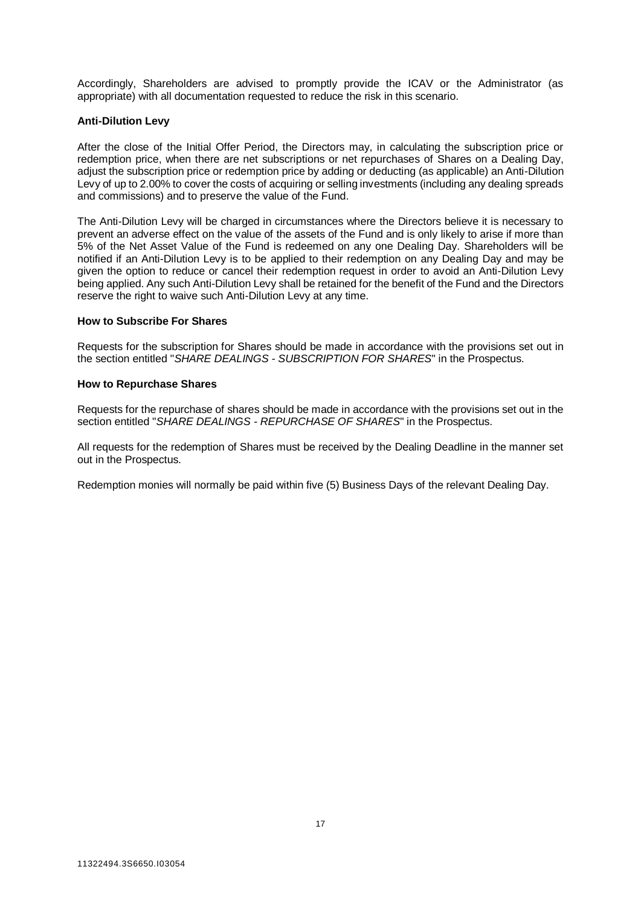Accordingly, Shareholders are advised to promptly provide the ICAV or the Administrator (as appropriate) with all documentation requested to reduce the risk in this scenario.

# **Anti-Dilution Levy**

After the close of the Initial Offer Period, the Directors may, in calculating the subscription price or redemption price, when there are net subscriptions or net repurchases of Shares on a Dealing Day, adjust the subscription price or redemption price by adding or deducting (as applicable) an Anti-Dilution Levy of up to 2.00% to cover the costs of acquiring or selling investments (including any dealing spreads and commissions) and to preserve the value of the Fund.

The Anti-Dilution Levy will be charged in circumstances where the Directors believe it is necessary to prevent an adverse effect on the value of the assets of the Fund and is only likely to arise if more than 5% of the Net Asset Value of the Fund is redeemed on any one Dealing Day. Shareholders will be notified if an Anti-Dilution Levy is to be applied to their redemption on any Dealing Day and may be given the option to reduce or cancel their redemption request in order to avoid an Anti-Dilution Levy being applied. Any such Anti-Dilution Levy shall be retained for the benefit of the Fund and the Directors reserve the right to waive such Anti-Dilution Levy at any time.

# **How to Subscribe For Shares**

Requests for the subscription for Shares should be made in accordance with the provisions set out in the section entitled "*SHARE DEALINGS - SUBSCRIPTION FOR SHARES*" in the Prospectus.

#### **How to Repurchase Shares**

Requests for the repurchase of shares should be made in accordance with the provisions set out in the section entitled "*SHARE DEALINGS - REPURCHASE OF SHARES*" in the Prospectus.

All requests for the redemption of Shares must be received by the Dealing Deadline in the manner set out in the Prospectus.

Redemption monies will normally be paid within five (5) Business Days of the relevant Dealing Day.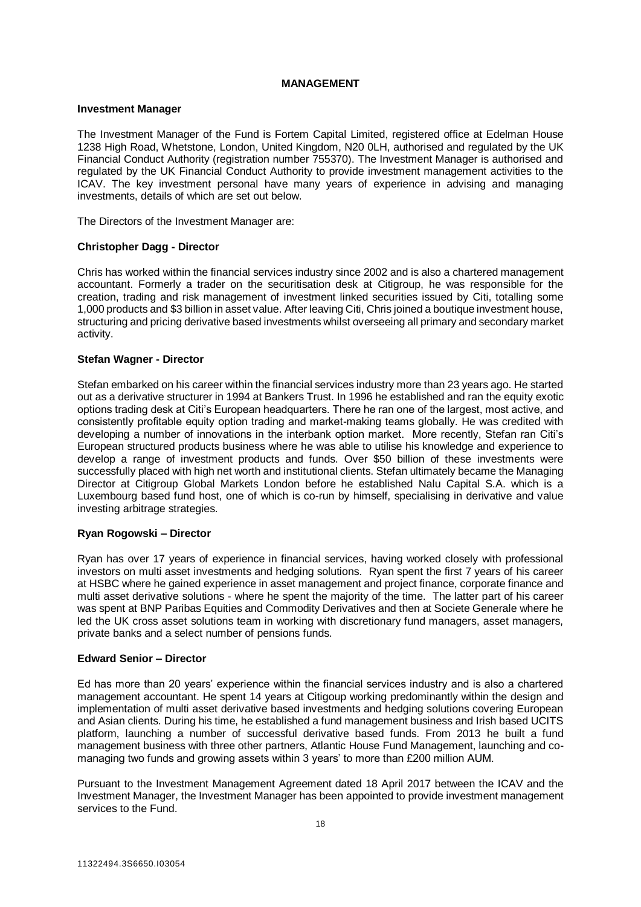# **MANAGEMENT**

# <span id="page-17-0"></span>**Investment Manager**

The Investment Manager of the Fund is Fortem Capital Limited, registered office at Edelman House 1238 High Road, Whetstone, London, United Kingdom, N20 0LH, authorised and regulated by the UK Financial Conduct Authority (registration number 755370). The Investment Manager is authorised and regulated by the UK Financial Conduct Authority to provide investment management activities to the ICAV. The key investment personal have many years of experience in advising and managing investments, details of which are set out below.

The Directors of the Investment Manager are:

# **Christopher Dagg - Director**

Chris has worked within the financial services industry since 2002 and is also a chartered management accountant. Formerly a trader on the securitisation desk at Citigroup, he was responsible for the creation, trading and risk management of investment linked securities issued by Citi, totalling some 1,000 products and \$3 billion in asset value. After leaving Citi, Chris joined a boutique investment house, structuring and pricing derivative based investments whilst overseeing all primary and secondary market activity.

# **Stefan Wagner - Director**

Stefan embarked on his career within the financial services industry more than 23 years ago. He started out as a derivative structurer in 1994 at Bankers Trust. In 1996 he established and ran the equity exotic options trading desk at Citi's European headquarters. There he ran one of the largest, most active, and consistently profitable equity option trading and market-making teams globally. He was credited with developing a number of innovations in the interbank option market. More recently, Stefan ran Citi's European structured products business where he was able to utilise his knowledge and experience to develop a range of investment products and funds. Over \$50 billion of these investments were successfully placed with high net worth and institutional clients. Stefan ultimately became the Managing Director at Citigroup Global Markets London before he established Nalu Capital S.A. which is a Luxembourg based fund host, one of which is co-run by himself, specialising in derivative and value investing arbitrage strategies.

# **Ryan Rogowski – Director**

Ryan has over 17 years of experience in financial services, having worked closely with professional investors on multi asset investments and hedging solutions. Ryan spent the first 7 years of his career at HSBC where he gained experience in asset management and project finance, corporate finance and multi asset derivative solutions - where he spent the majority of the time. The latter part of his career was spent at BNP Paribas Equities and Commodity Derivatives and then at Societe Generale where he led the UK cross asset solutions team in working with discretionary fund managers, asset managers, private banks and a select number of pensions funds.

# **Edward Senior – Director**

Ed has more than 20 years' experience within the financial services industry and is also a chartered management accountant. He spent 14 years at Citigoup working predominantly within the design and implementation of multi asset derivative based investments and hedging solutions covering European and Asian clients. During his time, he established a fund management business and Irish based UCITS platform, launching a number of successful derivative based funds. From 2013 he built a fund management business with three other partners, Atlantic House Fund Management, launching and comanaging two funds and growing assets within 3 years' to more than £200 million AUM.

Pursuant to the Investment Management Agreement dated 18 April 2017 between the ICAV and the Investment Manager, the Investment Manager has been appointed to provide investment management services to the Fund.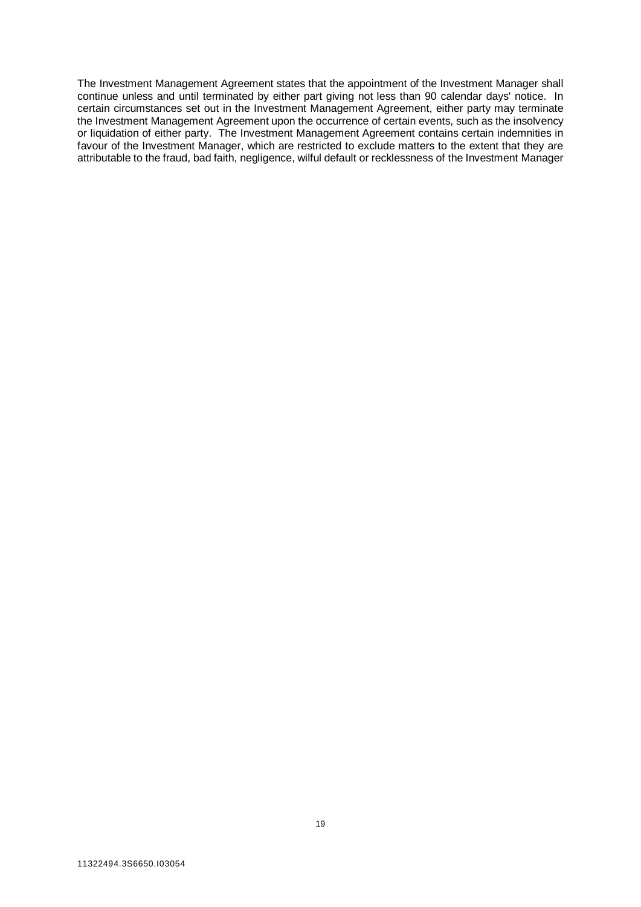The Investment Management Agreement states that the appointment of the Investment Manager shall continue unless and until terminated by either part giving not less than 90 calendar days' notice. In certain circumstances set out in the Investment Management Agreement, either party may terminate the Investment Management Agreement upon the occurrence of certain events, such as the insolvency or liquidation of either party. The Investment Management Agreement contains certain indemnities in favour of the Investment Manager, which are restricted to exclude matters to the extent that they are attributable to the fraud, bad faith, negligence, wilful default or recklessness of the Investment Manager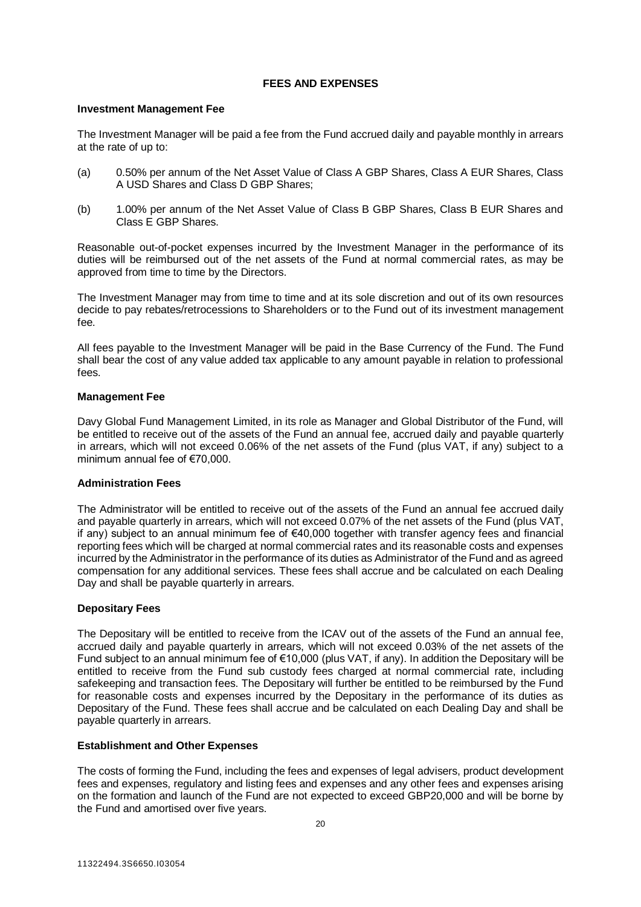# **FEES AND EXPENSES**

# <span id="page-19-0"></span>**Investment Management Fee**

The Investment Manager will be paid a fee from the Fund accrued daily and payable monthly in arrears at the rate of up to:

- (a) 0.50% per annum of the Net Asset Value of Class A GBP Shares, Class A EUR Shares, Class A USD Shares and Class D GBP Shares;
- (b) 1.00% per annum of the Net Asset Value of Class B GBP Shares, Class B EUR Shares and Class E GBP Shares.

Reasonable out-of-pocket expenses incurred by the Investment Manager in the performance of its duties will be reimbursed out of the net assets of the Fund at normal commercial rates, as may be approved from time to time by the Directors.

The Investment Manager may from time to time and at its sole discretion and out of its own resources decide to pay rebates/retrocessions to Shareholders or to the Fund out of its investment management fee.

All fees payable to the Investment Manager will be paid in the Base Currency of the Fund. The Fund shall bear the cost of any value added tax applicable to any amount payable in relation to professional fees.

# **Management Fee**

Davy Global Fund Management Limited, in its role as Manager and Global Distributor of the Fund, will be entitled to receive out of the assets of the Fund an annual fee, accrued daily and payable quarterly in arrears, which will not exceed 0.06% of the net assets of the Fund (plus VAT, if any) subject to a minimum annual fee of €70,000.

# **Administration Fees**

The Administrator will be entitled to receive out of the assets of the Fund an annual fee accrued daily and payable quarterly in arrears, which will not exceed 0.07% of the net assets of the Fund (plus VAT, if any) subject to an annual minimum fee of €40,000 together with transfer agency fees and financial reporting fees which will be charged at normal commercial rates and its reasonable costs and expenses incurred by the Administrator in the performance of its duties as Administrator of the Fund and as agreed compensation for any additional services. These fees shall accrue and be calculated on each Dealing Day and shall be payable quarterly in arrears.

# **Depositary Fees**

The Depositary will be entitled to receive from the ICAV out of the assets of the Fund an annual fee, accrued daily and payable quarterly in arrears, which will not exceed 0.03% of the net assets of the Fund subject to an annual minimum fee of €10,000 (plus VAT, if any). In addition the Depositary will be entitled to receive from the Fund sub custody fees charged at normal commercial rate, including safekeeping and transaction fees. The Depositary will further be entitled to be reimbursed by the Fund for reasonable costs and expenses incurred by the Depositary in the performance of its duties as Depositary of the Fund. These fees shall accrue and be calculated on each Dealing Day and shall be payable quarterly in arrears.

# **Establishment and Other Expenses**

The costs of forming the Fund, including the fees and expenses of legal advisers, product development fees and expenses, regulatory and listing fees and expenses and any other fees and expenses arising on the formation and launch of the Fund are not expected to exceed GBP20,000 and will be borne by the Fund and amortised over five years.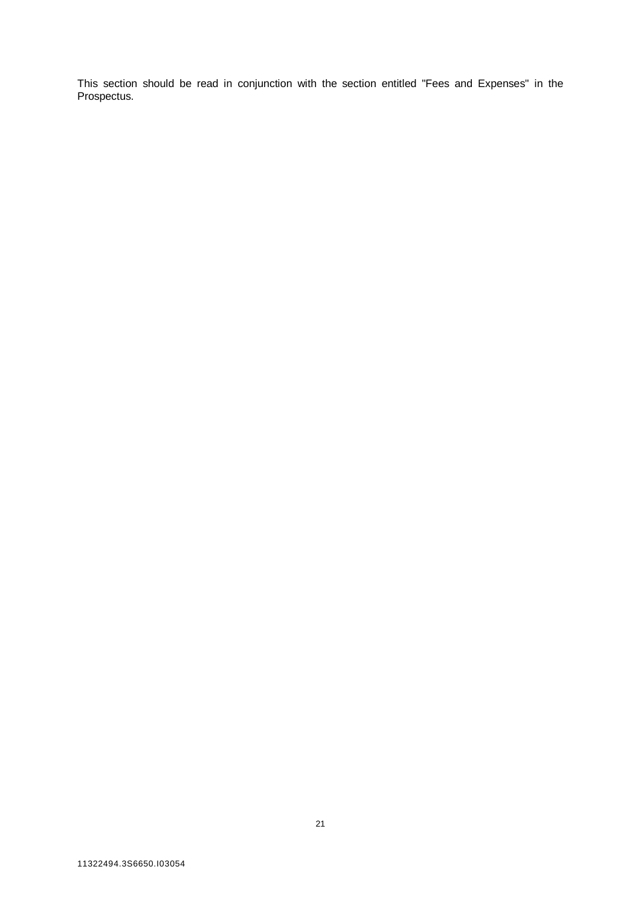This section should be read in conjunction with the section entitled "Fees and Expenses" in the Prospectus.